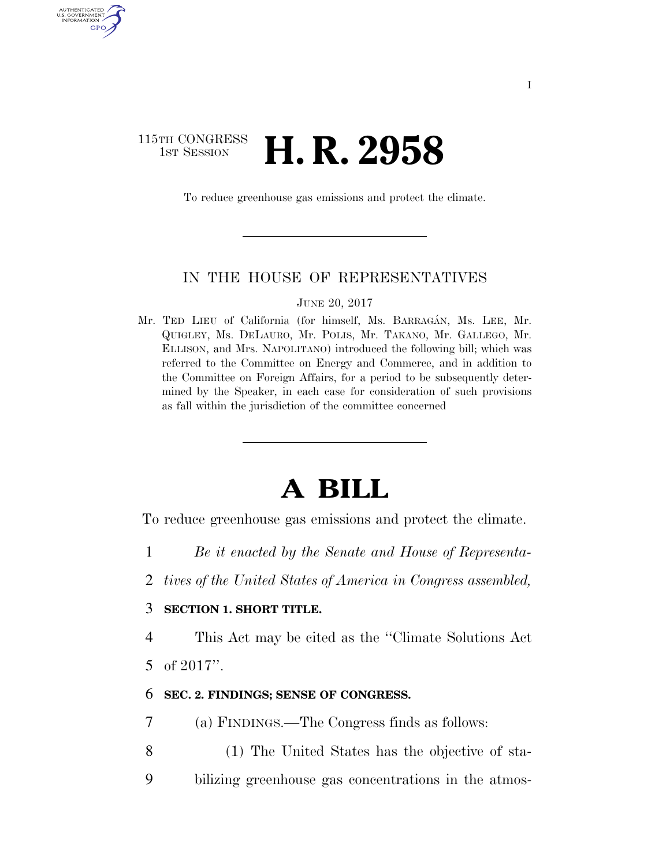# 115TH CONGRESS **1st Session H. R. 2958**

**AUTHENTICATE** U.S. GOVERNMENT GPO

To reduce greenhouse gas emissions and protect the climate.

#### IN THE HOUSE OF REPRESENTATIVES

JUNE 20, 2017

Mr. TED LIEU of California (for himself, Ms. BARRAGÁN, Ms. LEE, Mr. QUIGLEY, Ms. DELAURO, Mr. POLIS, Mr. TAKANO, Mr. GALLEGO, Mr. ELLISON, and Mrs. NAPOLITANO) introduced the following bill; which was referred to the Committee on Energy and Commerce, and in addition to the Committee on Foreign Affairs, for a period to be subsequently determined by the Speaker, in each case for consideration of such provisions as fall within the jurisdiction of the committee concerned

# **A BILL**

To reduce greenhouse gas emissions and protect the climate.

- 1 *Be it enacted by the Senate and House of Representa-*
- 2 *tives of the United States of America in Congress assembled,*

### 3 **SECTION 1. SHORT TITLE.**

4 This Act may be cited as the ''Climate Solutions Act 5 of 2017''.

#### 6 **SEC. 2. FINDINGS; SENSE OF CONGRESS.**

- 7 (a) FINDINGS.—The Congress finds as follows:
- 8 (1) The United States has the objective of sta-
- 9 bilizing greenhouse gas concentrations in the atmos-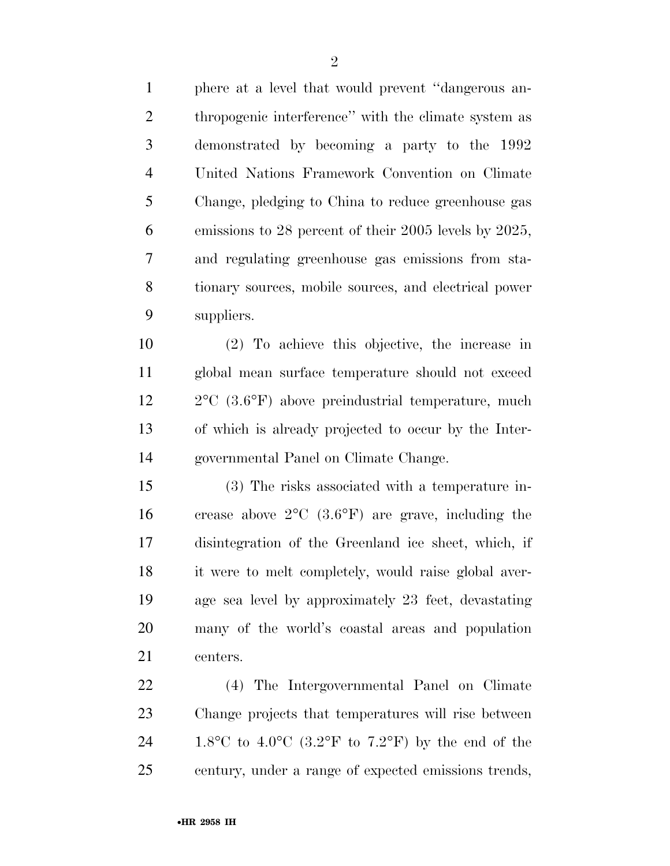phere at a level that would prevent ''dangerous an-2 thropogenic interference" with the climate system as demonstrated by becoming a party to the 1992 United Nations Framework Convention on Climate Change, pledging to China to reduce greenhouse gas emissions to 28 percent of their 2005 levels by 2025, and regulating greenhouse gas emissions from sta- tionary sources, mobile sources, and electrical power suppliers.

 (2) To achieve this objective, the increase in global mean surface temperature should not exceed 2°C (3.6°F) above preindustrial temperature, much of which is already projected to occur by the Inter-governmental Panel on Climate Change.

 (3) The risks associated with a temperature in- crease above 2°C (3.6°F) are grave, including the disintegration of the Greenland ice sheet, which, if it were to melt completely, would raise global aver- age sea level by approximately 23 feet, devastating many of the world's coastal areas and population centers.

 (4) The Intergovernmental Panel on Climate Change projects that temperatures will rise between 24 1.8°C to 4.0°C (3.2°F to 7.2°F) by the end of the century, under a range of expected emissions trends,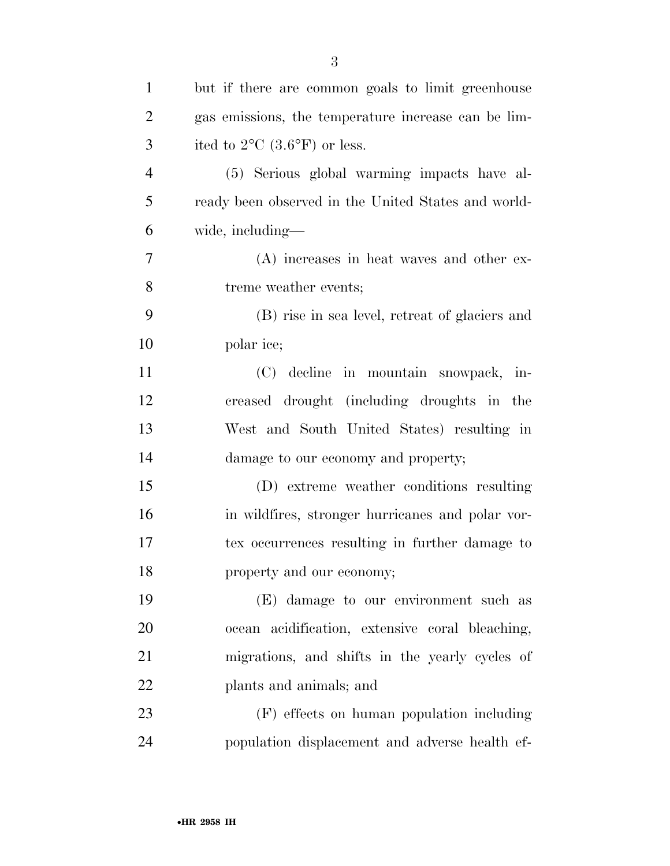| $\mathbf{1}$   | but if there are common goals to limit greenhouse   |
|----------------|-----------------------------------------------------|
| $\overline{c}$ | gas emissions, the temperature increase can be lim- |
| 3              | ited to $2^{\circ}$ C (3.6°F) or less.              |
| $\overline{4}$ | (5) Serious global warming impacts have al-         |
| 5              | ready been observed in the United States and world- |
| 6              | wide, including-                                    |
| 7              | (A) increases in heat waves and other ex-           |
| 8              | treme weather events;                               |
| 9              | (B) rise in sea level, retreat of glaciers and      |
| 10             | polar ice;                                          |
| 11             | (C) decline in mountain snowpack, in-               |
| 12             | creased drought (including droughts in the          |
| 13             | West and South United States) resulting in          |
| 14             | damage to our economy and property;                 |
| 15             | (D) extreme weather conditions resulting            |
| 16             | in wildfires, stronger hurricanes and polar vor-    |
| 17             | tex occurrences resulting in further damage to      |
| 18             | property and our economy;                           |
| 19             | (E) damage to our environment such as               |
| 20             | ocean acidification, extensive coral bleaching,     |
| 21             | migrations, and shifts in the yearly cycles of      |
| 22             | plants and animals; and                             |
| 23             | (F) effects on human population including           |
| 24             | population displacement and adverse health ef-      |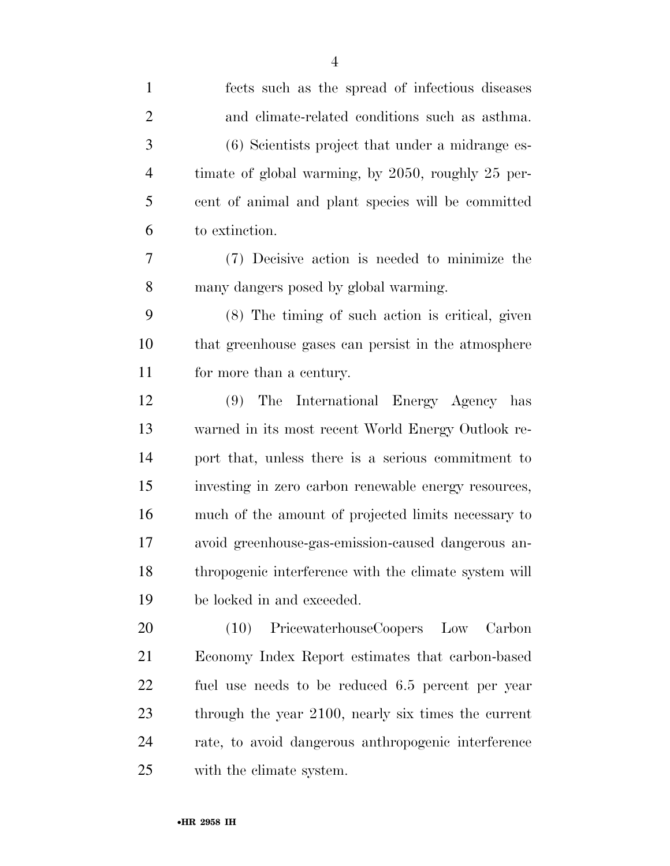| $\mathbf{1}$   | fects such as the spread of infectious diseases       |
|----------------|-------------------------------------------------------|
| $\overline{2}$ | and climate-related conditions such as asthma.        |
| 3              | (6) Scientists project that under a midrange es-      |
| $\overline{4}$ | timate of global warming, by 2050, roughly 25 per-    |
| 5              | cent of animal and plant species will be committed    |
| 6              | to extinction.                                        |
| 7              | (7) Decisive action is needed to minimize the         |
| 8              | many dangers posed by global warming.                 |
| 9              | (8) The timing of such action is critical, given      |
| 10             | that greenhouse gases can persist in the atmosphere   |
| 11             | for more than a century.                              |
| 12             | The International Energy Agency has<br>(9)            |
| 13             | warned in its most recent World Energy Outlook re-    |
| 14             | port that, unless there is a serious commitment to    |
| 15             | investing in zero carbon renewable energy resources,  |
| 16             | much of the amount of projected limits necessary to   |
| 17             | avoid greenhouse-gas-emission-caused dangerous an-    |
| 18             | thropogenic interference with the climate system will |
| 19             | be locked in and exceeded.                            |
| 20             | PricewaterhouseCoopers Low Carbon<br>(10)             |
| 21             | Economy Index Report estimates that carbon-based      |
| 22             | fuel use needs to be reduced 6.5 percent per year     |
| 23             | through the year 2100, nearly six times the current   |
| 24             | rate, to avoid dangerous anthropogenic interference   |
| 25             | with the climate system.                              |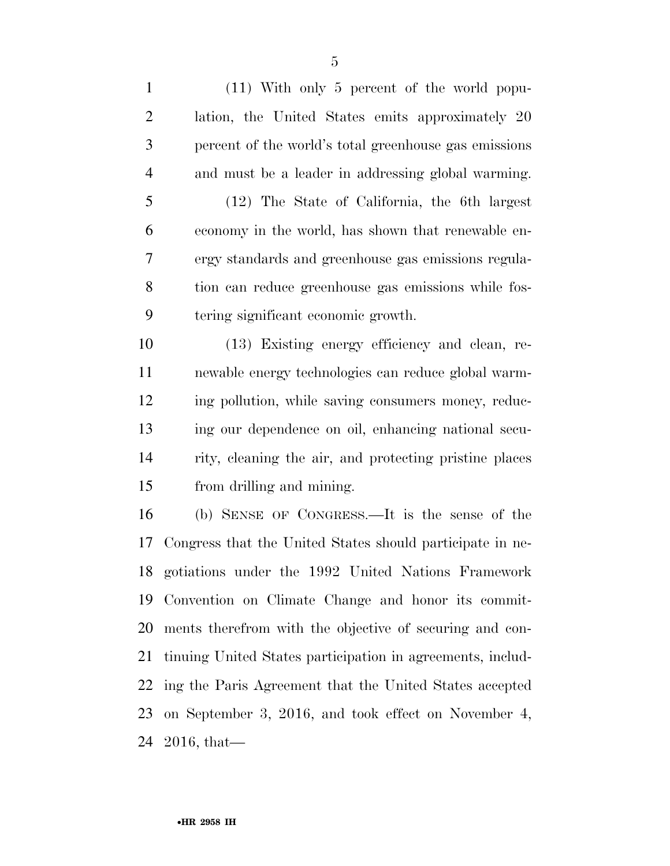(11) With only 5 percent of the world popu- lation, the United States emits approximately 20 percent of the world's total greenhouse gas emissions and must be a leader in addressing global warming.

 (12) The State of California, the 6th largest economy in the world, has shown that renewable en- ergy standards and greenhouse gas emissions regula- tion can reduce greenhouse gas emissions while fos-tering significant economic growth.

 (13) Existing energy efficiency and clean, re- newable energy technologies can reduce global warm- ing pollution, while saving consumers money, reduc- ing our dependence on oil, enhancing national secu- rity, cleaning the air, and protecting pristine places from drilling and mining.

 (b) SENSE OF CONGRESS.—It is the sense of the Congress that the United States should participate in ne- gotiations under the 1992 United Nations Framework Convention on Climate Change and honor its commit- ments therefrom with the objective of securing and con- tinuing United States participation in agreements, includ- ing the Paris Agreement that the United States accepted on September 3, 2016, and took effect on November 4, 2016, that—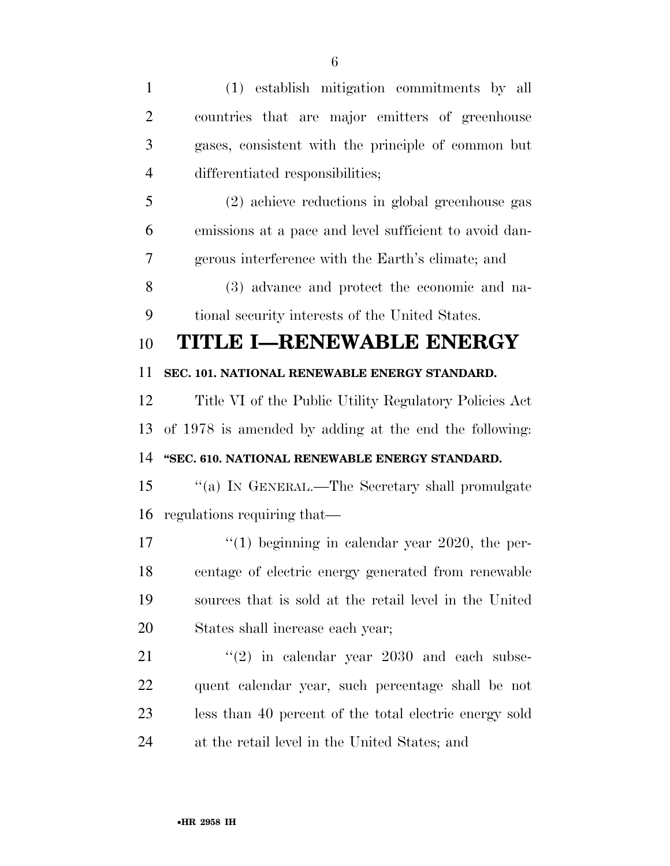(1) establish mitigation commitments by all countries that are major emitters of greenhouse gases, consistent with the principle of common but differentiated responsibilities; (2) achieve reductions in global greenhouse gas emissions at a pace and level sufficient to avoid dan- gerous interference with the Earth's climate; and (3) advance and protect the economic and na- tional security interests of the United States. **TITLE I—RENEWABLE ENERGY SEC. 101. NATIONAL RENEWABLE ENERGY STANDARD.**  Title VI of the Public Utility Regulatory Policies Act of 1978 is amended by adding at the end the following: **''SEC. 610. NATIONAL RENEWABLE ENERGY STANDARD.**  ''(a) IN GENERAL.—The Secretary shall promulgate regulations requiring that— 17 ''(1) beginning in calendar year 2020, the per- centage of electric energy generated from renewable sources that is sold at the retail level in the United States shall increase each year; ''(2) in calendar year 2030 and each subse- quent calendar year, such percentage shall be not less than 40 percent of the total electric energy sold

at the retail level in the United States; and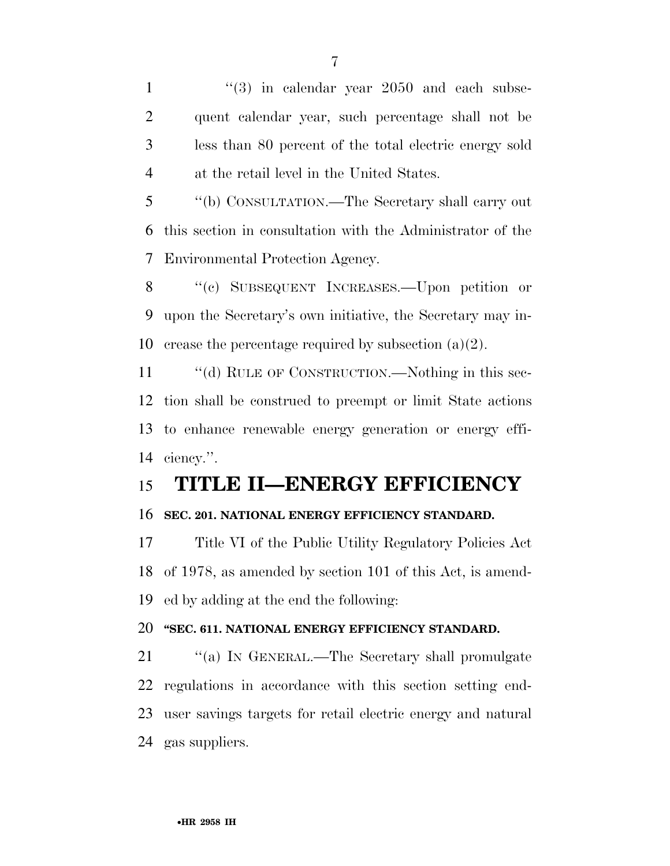$\frac{1}{2}$   $\frac{1}{3}$  in calendar year 2050 and each subse- quent calendar year, such percentage shall not be less than 80 percent of the total electric energy sold at the retail level in the United States.

 ''(b) CONSULTATION.—The Secretary shall carry out this section in consultation with the Administrator of the Environmental Protection Agency.

 ''(c) SUBSEQUENT INCREASES.—Upon petition or upon the Secretary's own initiative, the Secretary may in-10 crease the percentage required by subsection  $(a)(2)$ .

11 "(d) RULE OF CONSTRUCTION.—Nothing in this sec- tion shall be construed to preempt or limit State actions to enhance renewable energy generation or energy effi-ciency.''.

# **TITLE II—ENERGY EFFICIENCY**

## **SEC. 201. NATIONAL ENERGY EFFICIENCY STANDARD.**

 Title VI of the Public Utility Regulatory Policies Act of 1978, as amended by section 101 of this Act, is amend-ed by adding at the end the following:

## **''SEC. 611. NATIONAL ENERGY EFFICIENCY STANDARD.**

21 "(a) IN GENERAL.—The Secretary shall promulgate regulations in accordance with this section setting end- user savings targets for retail electric energy and natural gas suppliers.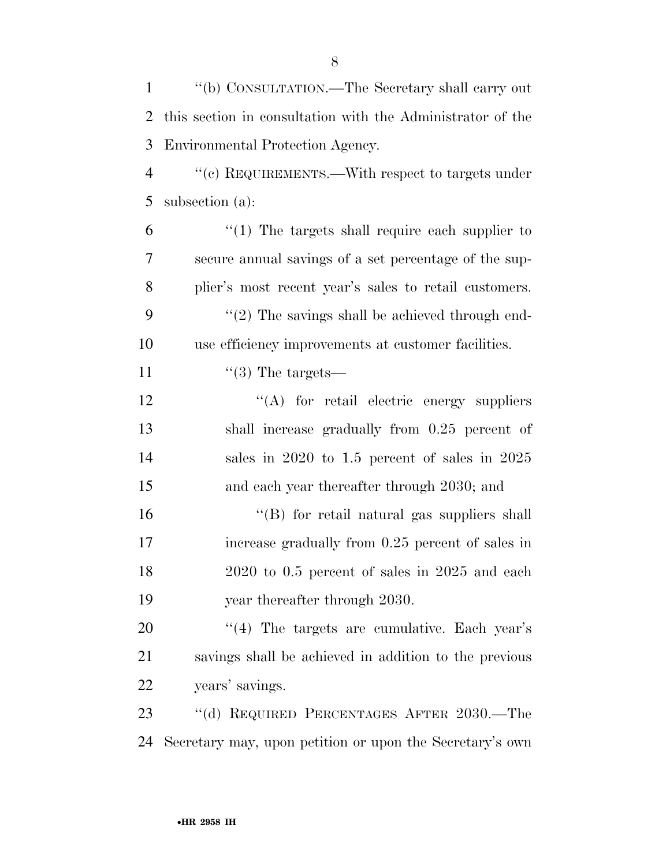''(b) CONSULTATION.—The Secretary shall carry out this section in consultation with the Administrator of the Environmental Protection Agency.

 ''(c) REQUIREMENTS.—With respect to targets under subsection (a):

 "(1) The targets shall require each supplier to secure annual savings of a set percentage of the sup- plier's most recent year's sales to retail customers.  $\frac{1}{2}$  The savings shall be achieved through end-use efficiency improvements at customer facilities.

11  $\frac{1}{3}$  The targets—

12 "(A) for retail electric energy suppliers shall increase gradually from 0.25 percent of sales in 2020 to 1.5 percent of sales in 2025 and each year thereafter through 2030; and

16 ''(B) for retail natural gas suppliers shall increase gradually from 0.25 percent of sales in 2020 to 0.5 percent of sales in 2025 and each year thereafter through 2030.

 ''(4) The targets are cumulative. Each year's savings shall be achieved in addition to the previous years' savings.

 ''(d) REQUIRED PERCENTAGES AFTER 2030.—The Secretary may, upon petition or upon the Secretary's own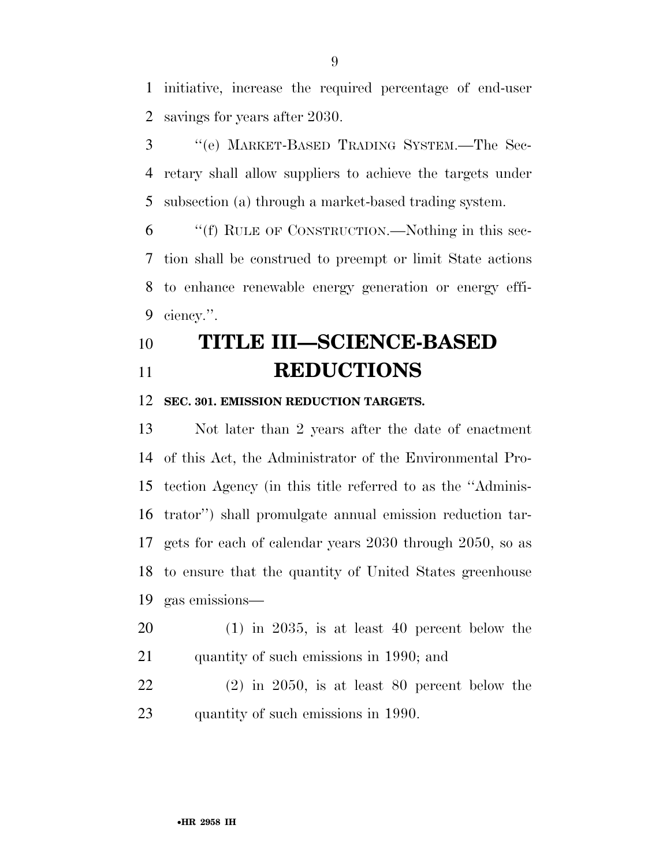initiative, increase the required percentage of end-user savings for years after 2030.

 ''(e) MARKET-BASED TRADING SYSTEM.—The Sec- retary shall allow suppliers to achieve the targets under subsection (a) through a market-based trading system.

 ''(f) RULE OF CONSTRUCTION.—Nothing in this sec- tion shall be construed to preempt or limit State actions to enhance renewable energy generation or energy effi-ciency.''.

# **TITLE III—SCIENCE-BASED REDUCTIONS**

#### **SEC. 301. EMISSION REDUCTION TARGETS.**

 Not later than 2 years after the date of enactment of this Act, the Administrator of the Environmental Pro- tection Agency (in this title referred to as the ''Adminis- trator'') shall promulgate annual emission reduction tar- gets for each of calendar years 2030 through 2050, so as to ensure that the quantity of United States greenhouse gas emissions—

- (1) in 2035, is at least 40 percent below the quantity of such emissions in 1990; and
- (2) in 2050, is at least 80 percent below the quantity of such emissions in 1990.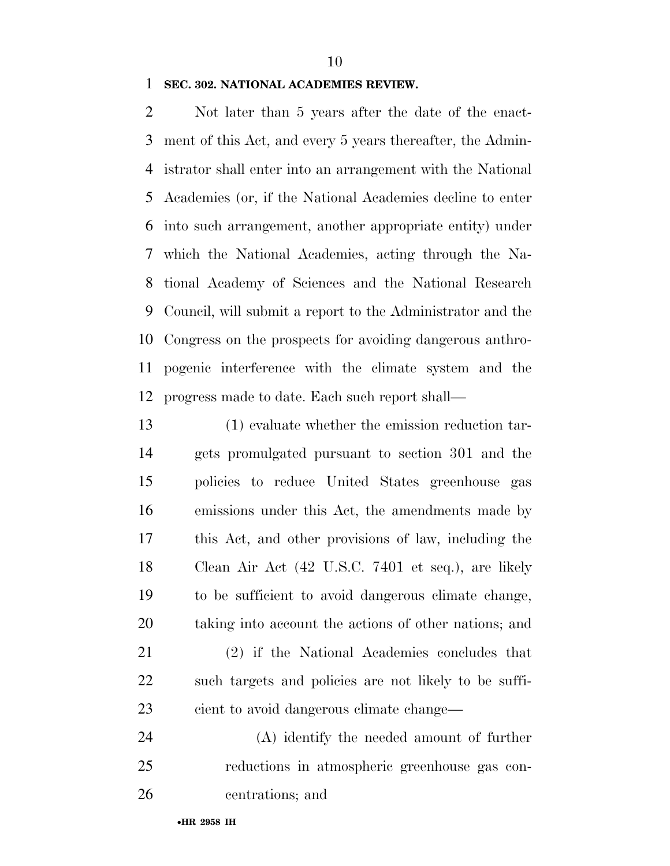### **SEC. 302. NATIONAL ACADEMIES REVIEW.**

 Not later than 5 years after the date of the enact- ment of this Act, and every 5 years thereafter, the Admin- istrator shall enter into an arrangement with the National Academies (or, if the National Academies decline to enter into such arrangement, another appropriate entity) under which the National Academies, acting through the Na- tional Academy of Sciences and the National Research Council, will submit a report to the Administrator and the Congress on the prospects for avoiding dangerous anthro- pogenic interference with the climate system and the progress made to date. Each such report shall—

 (1) evaluate whether the emission reduction tar- gets promulgated pursuant to section 301 and the policies to reduce United States greenhouse gas emissions under this Act, the amendments made by this Act, and other provisions of law, including the Clean Air Act (42 U.S.C. 7401 et seq.), are likely to be sufficient to avoid dangerous climate change, taking into account the actions of other nations; and

 (2) if the National Academies concludes that such targets and policies are not likely to be suffi-cient to avoid dangerous climate change—

 (A) identify the needed amount of further reductions in atmospheric greenhouse gas con-centrations; and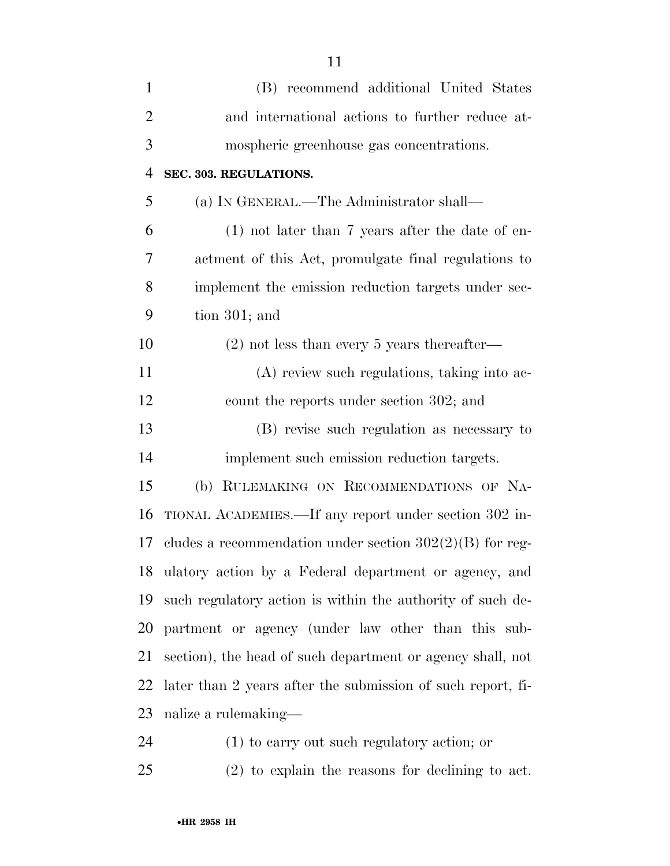| $\mathbf{1}$   | (B) recommend additional United States                      |
|----------------|-------------------------------------------------------------|
| $\overline{2}$ | and international actions to further reduce at-             |
| 3              | mospheric greenhouse gas concentrations.                    |
| $\overline{4}$ | SEC. 303. REGULATIONS.                                      |
| 5              | (a) IN GENERAL.—The Administrator shall—                    |
| 6              | $(1)$ not later than 7 years after the date of en-          |
| 7              | actment of this Act, promulgate final regulations to        |
| 8              | implement the emission reduction targets under sec-         |
| 9              | tion $301$ ; and                                            |
| 10             | $(2)$ not less than every 5 years thereafter—               |
| 11             | (A) review such regulations, taking into ac-                |
| 12             | count the reports under section 302; and                    |
| 13             | (B) revise such regulation as necessary to                  |
| 14             | implement such emission reduction targets.                  |
| 15             | RULEMAKING ON RECOMMENDATIONS OF NA-<br>(b)                 |
| 16             | TIONAL ACADEMIES.—If any report under section 302 in-       |
| 17             | cludes a recommendation under section $302(2)(B)$ for reg-  |
| 18             | ulatory action by a Federal department or agency, and       |
| 19             | such regulatory action is within the authority of such de-  |
| <b>20</b>      | partment or agency (under law other than this sub-          |
| 21             | section), the head of such department or agency shall, not  |
| 22             | later than 2 years after the submission of such report, fi- |
| 23             | nalize a rulemaking—                                        |
| 24             | $(1)$ to carry out such regulatory action; or               |

(2) to explain the reasons for declining to act.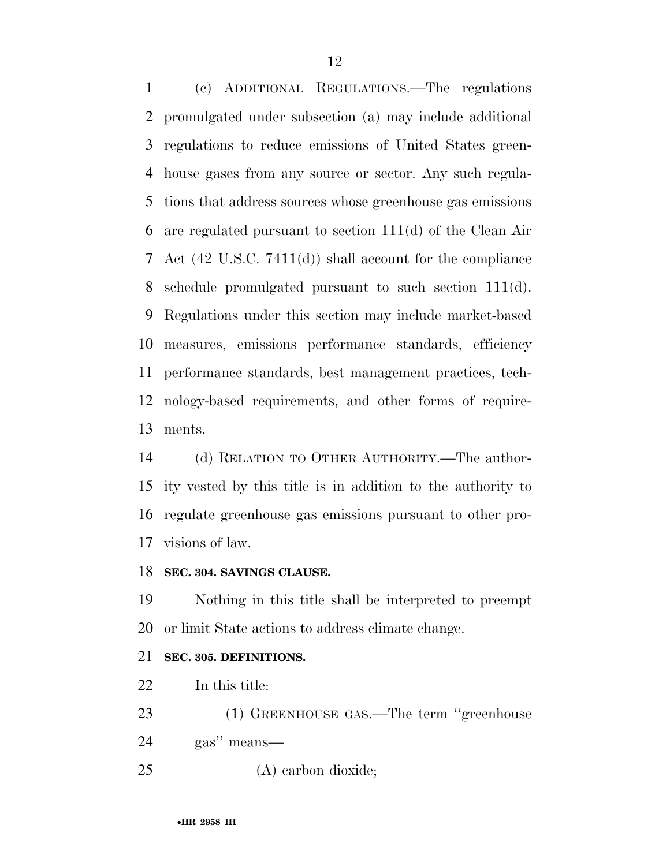(c) ADDITIONAL REGULATIONS.—The regulations promulgated under subsection (a) may include additional regulations to reduce emissions of United States green- house gases from any source or sector. Any such regula- tions that address sources whose greenhouse gas emissions are regulated pursuant to section 111(d) of the Clean Air Act (42 U.S.C. 7411(d)) shall account for the compliance schedule promulgated pursuant to such section 111(d). Regulations under this section may include market-based measures, emissions performance standards, efficiency performance standards, best management practices, tech- nology-based requirements, and other forms of require-ments.

 (d) RELATION TO OTHER AUTHORITY.—The author- ity vested by this title is in addition to the authority to regulate greenhouse gas emissions pursuant to other pro-visions of law.

#### **SEC. 304. SAVINGS CLAUSE.**

 Nothing in this title shall be interpreted to preempt or limit State actions to address climate change.

## **SEC. 305. DEFINITIONS.**

22 In this title:

23 (1) GREENHOUSE GAS.—The term "greenhouse

gas'' means—

(A) carbon dioxide;